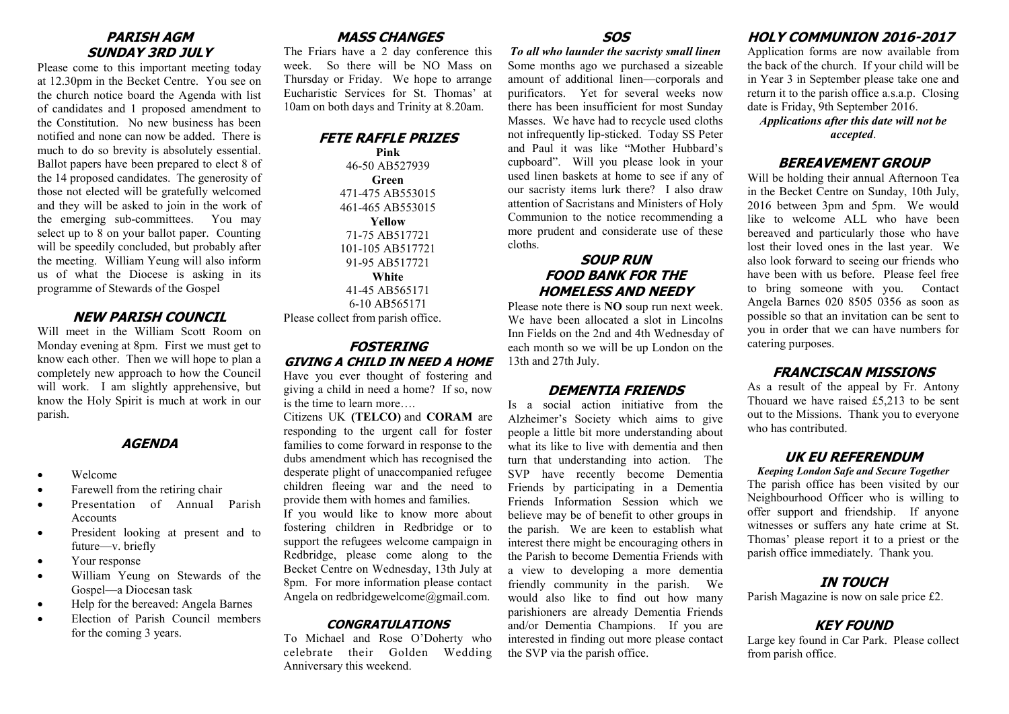#### **PARISH AGM SUNDAY 3RD JULY**

Please come to this important meeting today at 12.30pm in the Becket Centre. You see on the church notice board the Agenda with list of candidates and 1 proposed amendment to the Constitution. No new business has been notified and none can now be added. There is much to do so brevity is absolutely essential. Ballot papers have been prepared to elect 8 of the 14 proposed candidates. The generosity of those not elected will be gratefully welcomed and they will be asked to join in the work of the emerging sub-committees. You may select up to 8 on your ballot paper. Counting will be speedily concluded, but probably after the meeting. William Yeung will also inform us of what the Diocese is asking in its programme of Stewards of the Gospel

#### **NEW PARISH COUNCIL**

Will meet in the William Scott Room on Monday evening at 8pm. First we must get to know each other. Then we will hope to plan a completely new approach to how the Council will work. I am slightly apprehensive, but know the Holy Spirit is much at work in our parish.

#### **AGENDA**

- Welcome
- Farewell from the retiring chair
- Presentation of Annual Parish Accounts
- President looking at present and to future—v. briefly
- Your response
- William Yeung on Stewards of the Gospel—a Diocesan task
- Help for the bereaved: Angela Barnes
- Election of Parish Council members for the coming 3 years.

## **MASS CHANGES**

The Friars have a 2 day conference this week. So there will be NO Mass on Thursday or Friday. We hope to arrange Eucharistic Services for St. Thomas' at 10am on both days and Trinity at 8.20am.

## **FETE RAFFLE PRIZES**

**Pink** 46-50 AB527939 **Green** 471-475 AB553015 461-465 AB553015 **Yellow** 71-75 AB517721 101-105 AB517721 91-95 AB517721 **White** 41-45 AB565171 6-10 AB565171 Please collect from parish office.

## **FOSTERING GIVING A CHILD IN NEED A HOME**

Have you ever thought of fostering and giving a child in need a home? If so, now is the time to learn more….

Citizens UK **(TELCO)** and **CORAM** are responding to the urgent call for foster families to come forward in response to the dubs amendment which has recognised the desperate plight of unaccompanied refugee children fleeing war and the need to provide them with homes and families.

If you would like to know more about fostering children in Redbridge or to support the refugees welcome campaign in Redbridge, please come along to the Becket Centre on Wednesday, 13th July at 8pm. For more information please contact Angela on redbridgewelcome@gmail.com.

#### **CONGRATULATIONS**

To Michael and Rose O'Doherty who celebrate their Golden Wedding Anniversary this weekend.

#### **SOS**

*To all who launder the sacristy small linen* Some months ago we purchased a sizeable amount of additional linen—corporals and purificators. Yet for several weeks now there has been insufficient for most Sunday Masses. We have had to recycle used cloths not infrequently lip-sticked. Today SS Peter and Paul it was like "Mother Hubbard's cupboard". Will you please look in your used linen baskets at home to see if any of our sacristy items lurk there? I also draw attention of Sacristans and Ministers of Holy Communion to the notice recommending a more prudent and considerate use of these cloths.

#### **SOUP RUN FOOD BANK FOR THE HOMELESS AND NEEDY**

Please note there is **NO** soup run next week. We have been allocated a slot in Lincolns Inn Fields on the 2nd and 4th Wednesday of each month so we will be up London on the 13th and 27th July.

#### **DEMENTIA FRIENDS**

Is a social action initiative from the Alzheimer's Society which aims to give people a little bit more understanding about what its like to live with dementia and then turn that understanding into action. The SVP have recently become Dementia Friends by participating in a Dementia Friends Information Session which we believe may be of benefit to other groups in the parish. We are keen to establish what interest there might be encouraging others in the Parish to become Dementia Friends with a view to developing a more dementia friendly community in the parish. We would also like to find out how many parishioners are already Dementia Friends and/or Dementia Champions. If you are interested in finding out more please contact the SVP via the parish office.

## **HOLY COMMUNION 2016-2017**

Application forms are now available from the back of the church. If your child will be in Year 3 in September please take one and return it to the parish office a.s.a.p. Closing date is Friday, 9th September 2016.

*Applications after this date will not be accepted*.

#### **BEREAVEMENT GROUP**

Will be holding their annual Afternoon Tea in the Becket Centre on Sunday, 10th July, 2016 between 3pm and 5pm. We would like to welcome ALL who have been bereaved and particularly those who have lost their loved ones in the last year. We also look forward to seeing our friends who have been with us before. Please feel free to bring someone with you. Contact Angela Barnes 020 8505 0356 as soon as possible so that an invitation can be sent to you in order that we can have numbers for catering purposes.

## **FRANCISCAN MISSIONS**

As a result of the appeal by Fr. Antony Thouard we have raised £5,213 to be sent out to the Missions. Thank you to everyone who has contributed.

#### **UK EU REFERENDUM**

*Keeping London Safe and Secure Together* The parish office has been visited by our Neighbourhood Officer who is willing to offer support and friendship. If anyone witnesses or suffers any hate crime at St. Thomas' please report it to a priest or the parish office immediately. Thank you.

## **IN TOUCH**

Parish Magazine is now on sale price £2.

## **KEY FOUND**

Large key found in Car Park. Please collect from parish office.